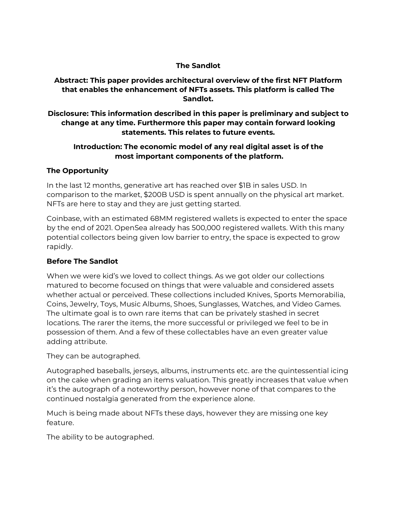#### **The Sandlot**

**Abstract: This paper provides architectural overview of the first NFT Platform that enables the enhancement of NFTs assets. This platform is called The Sandlot.**

**Disclosure: This information described in this paper is preliminary and subject to change at any time. Furthermore this paper may contain forward looking statements. This relates to future events.**

## **Introduction: The economic model of any real digital asset is of the most important components of the platform.**

#### **The Opportunity**

In the last 12 months, generative art has reached over \$1B in sales USD. In comparison to the market, \$200B USD is spent annually on the physical art market. NFTs are here to stay and they are just getting started.

Coinbase, with an estimated 68MM registered wallets is expected to enter the space by the end of 2021. OpenSea already has 500,000 registered wallets. With this many potential collectors being given low barrier to entry, the space is expected to grow rapidly.

## **Before The Sandlot**

When we were kid's we loved to collect things. As we got older our collections matured to become focused on things that were valuable and considered assets whether actual or perceived. These collections included Knives, Sports Memorabilia, Coins, Jewelry, Toys, Music Albums, Shoes, Sunglasses, Watches, and Video Games. The ultimate goal is to own rare items that can be privately stashed in secret locations. The rarer the items, the more successful or privileged we feel to be in possession of them. And a few of these collectables have an even greater value adding attribute.

They can be autographed.

Autographed baseballs, jerseys, albums, instruments etc. are the quintessential icing on the cake when grading an items valuation. This greatly increases that value when it's the autograph of a noteworthy person, however none of that compares to the continued nostalgia generated from the experience alone.

Much is being made about NFTs these days, however they are missing one key feature.

The ability to be autographed.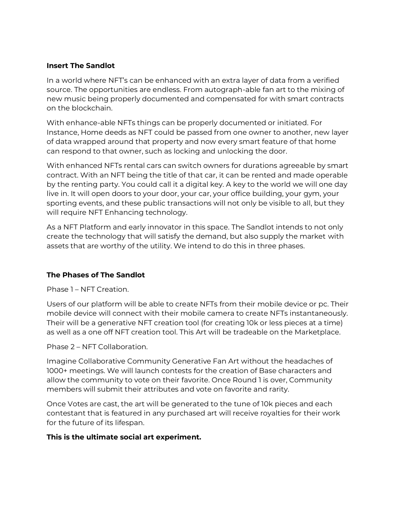## **Insert The Sandlot**

In a world where NFT's can be enhanced with an extra layer of data from a verified source. The opportunities are endless. From autograph-able fan art to the mixing of new music being properly documented and compensated for with smart contracts on the blockchain.

With enhance-able NFTs things can be properly documented or initiated. For Instance, Home deeds as NFT could be passed from one owner to another, new layer of data wrapped around that property and now every smart feature of that home can respond to that owner, such as locking and unlocking the door.

With enhanced NFTs rental cars can switch owners for durations agreeable by smart contract. With an NFT being the title of that car, it can be rented and made operable by the renting party. You could call it a digital key. A key to the world we will one day live in. It will open doors to your door, your car, your office building, your gym, your sporting events, and these public transactions will not only be visible to all, but they will require NFT Enhancing technology.

As a NFT Platform and early innovator in this space. The Sandlot intends to not only create the technology that will satisfy the demand, but also supply the market with assets that are worthy of the utility. We intend to do this in three phases.

# **The Phases of The Sandlot**

Phase 1 – NFT Creation.

Users of our platform will be able to create NFTs from their mobile device or pc. Their mobile device will connect with their mobile camera to create NFTs instantaneously. Their will be a generative NFT creation tool (for creating 10k or less pieces at a time) as well as a one off NFT creation tool. This Art will be tradeable on the Marketplace.

Phase 2 – NFT Collaboration.

Imagine Collaborative Community Generative Fan Art without the headaches of 1000+ meetings. We will launch contests for the creation of Base characters and allow the community to vote on their favorite. Once Round 1 is over, Community members will submit their attributes and vote on favorite and rarity.

Once Votes are cast, the art will be generated to the tune of 10k pieces and each contestant that is featured in any purchased art will receive royalties for their work for the future of its lifespan.

#### **This is the ultimate social art experiment.**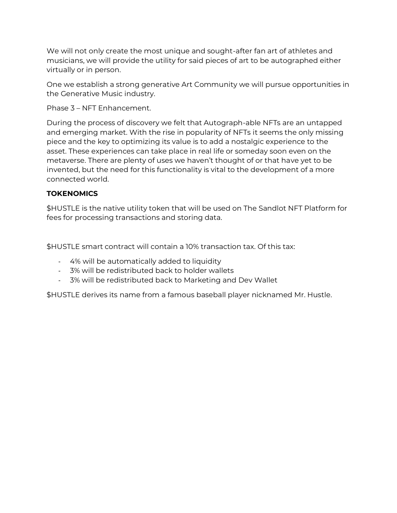We will not only create the most unique and sought-after fan art of athletes and musicians, we will provide the utility for said pieces of art to be autographed either virtually or in person.

One we establish a strong generative Art Community we will pursue opportunities in the Generative Music industry.

Phase 3 – NFT Enhancement.

During the process of discovery we felt that Autograph-able NFTs are an untapped and emerging market. With the rise in popularity of NFTs it seems the only missing piece and the key to optimizing its value is to add a nostalgic experience to the asset. These experiences can take place in real life or someday soon even on the metaverse. There are plenty of uses we haven't thought of or that have yet to be invented, but the need for this functionality is vital to the development of a more connected world.

# **TOKENOMICS**

\$HUSTLE is the native utility token that will be used on The Sandlot NFT Platform for fees for processing transactions and storing data.

\$HUSTLE smart contract will contain a 10% transaction tax. Of this tax:

- 4% will be automatically added to liquidity
- 3% will be redistributed back to holder wallets
- 3% will be redistributed back to Marketing and Dev Wallet

\$HUSTLE derives its name from a famous baseball player nicknamed Mr. Hustle.